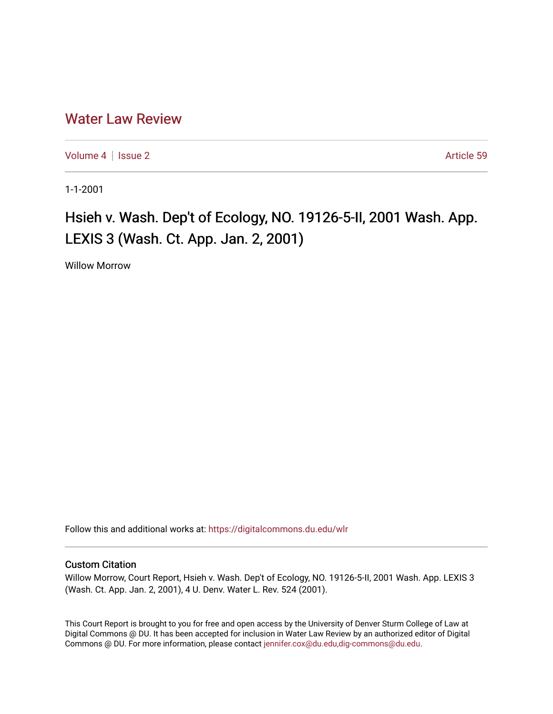## [Water Law Review](https://digitalcommons.du.edu/wlr)

[Volume 4](https://digitalcommons.du.edu/wlr/vol4) | [Issue 2](https://digitalcommons.du.edu/wlr/vol4/iss2) Article 59

1-1-2001

## Hsieh v. Wash. Dep't of Ecology, NO. 19126-5-II, 2001 Wash. App. LEXIS 3 (Wash. Ct. App. Jan. 2, 2001)

Willow Morrow

Follow this and additional works at: [https://digitalcommons.du.edu/wlr](https://digitalcommons.du.edu/wlr?utm_source=digitalcommons.du.edu%2Fwlr%2Fvol4%2Fiss2%2F59&utm_medium=PDF&utm_campaign=PDFCoverPages) 

## Custom Citation

Willow Morrow, Court Report, Hsieh v. Wash. Dep't of Ecology, NO. 19126-5-II, 2001 Wash. App. LEXIS 3 (Wash. Ct. App. Jan. 2, 2001), 4 U. Denv. Water L. Rev. 524 (2001).

This Court Report is brought to you for free and open access by the University of Denver Sturm College of Law at Digital Commons @ DU. It has been accepted for inclusion in Water Law Review by an authorized editor of Digital Commons @ DU. For more information, please contact [jennifer.cox@du.edu,dig-commons@du.edu.](mailto:jennifer.cox@du.edu,dig-commons@du.edu)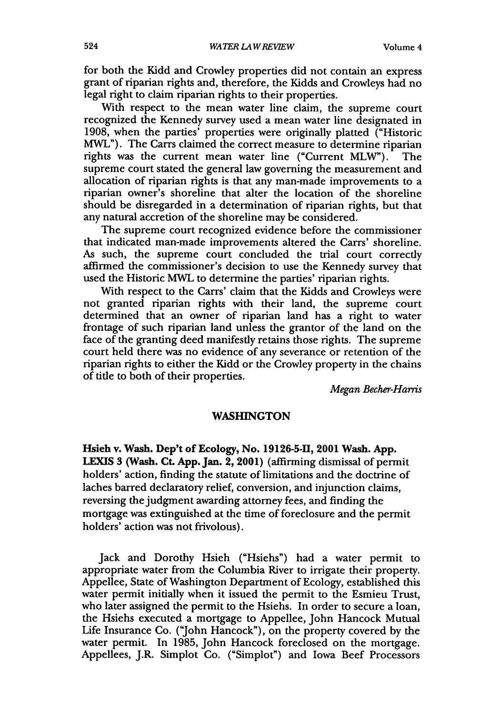for both the Kidd and Crowley properties did not contain an express grant of riparian rights and, therefore, the Kidds and Crowleys had no legal right to claim riparian rights to their properties.

With respect to the mean water line claim, the supreme court recognized the Kennedy survey used a mean water line designated in 1908, when the parties' properties were originally platted ("Historic MWL"). The Carrs claimed the correct measure to determine riparian rights was the current mean water line ("Current MLW"). The supreme court stated the general law governing the measurement and allocation of riparian rights is that any man-made improvements to a riparian owner's shoreline that alter the location of the shoreline should be disregarded in a determination of riparian rights, but that any natural accretion of the shoreline may be considered.

The supreme court recognized evidence before the commissioner that indicated man-made improvements altered the Carrs' shoreline. As such, the supreme court concluded the trial court correctly affirmed the commissioner's decision to use the Kennedy survey that used the Historic MWL to determine the parties' riparian rights.

With respect to the Carrs' claim that the Kidds and Crowleys were not granted riparian rights with their land, the supreme court determined that an owner of riparian land has a right to water frontage of such riparian land unless the grantor of the land on the face of the granting deed manifestly retains those rights. The supreme court held there was no evidence of any severance or retention of the riparian rights to either the Kidd or the Crowley property in the chains of title to both of their properties.

*Megan Becher-Harris*

## **WASHINGTON**

Hsieh v. Wash. Dep't of Ecology, No. **19126-5-H,** 2001 Wash. **App. LEXIS 3 (Wash. Ct. App. Jan. 2, 2001) (affirming dismissal of permit** holders' action, finding the statute of limitations and the doctrine of laches barred declaratory relief, conversion, and injunction claims, reversing the judgment awarding attorney fees, and finding the mortgage was extinguished at the time of foreclosure and the permit holders' action was not frivolous).

Jack and Dorothy Hsieh ("Hsiehs") had a water permit to appropriate water from the Columbia River to irrigate their property. Appellee, State of Washington Department of Ecology, established this water permit initially when it issued the permit to the Esmieu Trust, who later assigned the permit to the Hsiehs. In order to secure a loan, the Hsiehs executed a mortgage to Appellee, John Hancock Mutual Life Insurance Co. ("John Hancock"), on the property covered by the water permit. In 1985, John Hancock foreclosed on the mortgage. Appellees, J.R. Simplot Co. ("Simplot") and Iowa Beef Processors